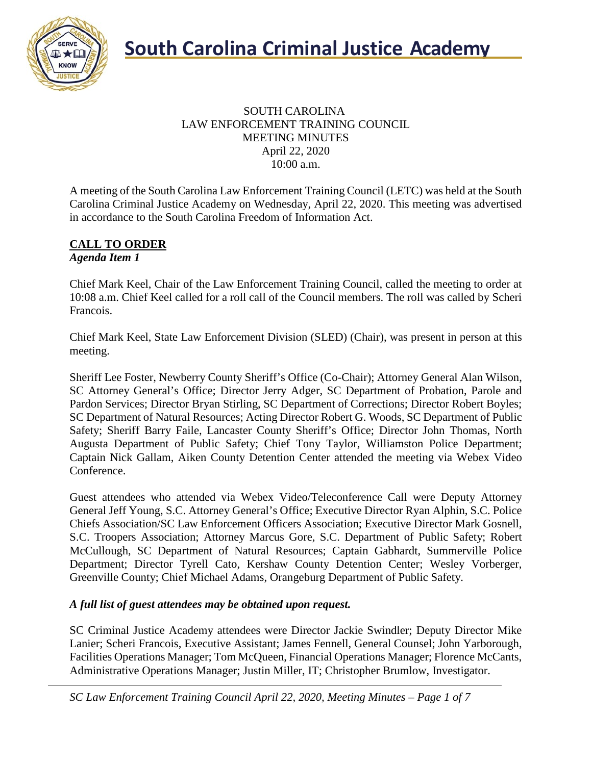

#### SOUTH CAROLINA LAW ENFORCEMENT TRAINING COUNCIL MEETING MINUTES April 22, 2020 10:00 a.m.

A meeting of the South Carolina Law Enforcement Training Council (LETC) was held at the South Carolina Criminal Justice Academy on Wednesday, April 22, 2020. This meeting was advertised in accordance to the South Carolina Freedom of Information Act.

#### **CALL TO ORDER** *Agenda Item 1*

Chief Mark Keel, Chair of the Law Enforcement Training Council, called the meeting to order at 10:08 a.m. Chief Keel called for a roll call of the Council members. The roll was called by Scheri Francois.

Chief Mark Keel, State Law Enforcement Division (SLED) (Chair), was present in person at this meeting.

Sheriff Lee Foster, Newberry County Sheriff's Office (Co-Chair); Attorney General Alan Wilson, SC Attorney General's Office; Director Jerry Adger, SC Department of Probation, Parole and Pardon Services; Director Bryan Stirling, SC Department of Corrections; Director Robert Boyles; SC Department of Natural Resources; Acting Director Robert G. Woods, SC Department of Public Safety; Sheriff Barry Faile, Lancaster County Sheriff's Office; Director John Thomas, North Augusta Department of Public Safety; Chief Tony Taylor, Williamston Police Department; Captain Nick Gallam, Aiken County Detention Center attended the meeting via Webex Video Conference.

Guest attendees who attended via Webex Video/Teleconference Call were Deputy Attorney General Jeff Young, S.C. Attorney General's Office; Executive Director Ryan Alphin, S.C. Police Chiefs Association/SC Law Enforcement Officers Association; Executive Director Mark Gosnell, S.C. Troopers Association; Attorney Marcus Gore, S.C. Department of Public Safety; Robert McCullough, SC Department of Natural Resources; Captain Gabhardt, Summerville Police Department; Director Tyrell Cato, Kershaw County Detention Center; Wesley Vorberger, Greenville County; Chief Michael Adams, Orangeburg Department of Public Safety.

#### *A full list of guest attendees may be obtained upon request.*

SC Criminal Justice Academy attendees were Director Jackie Swindler; Deputy Director Mike Lanier; Scheri Francois, Executive Assistant; James Fennell, General Counsel; John Yarborough, Facilities Operations Manager; Tom McQueen, Financial Operations Manager; Florence McCants, Administrative Operations Manager; Justin Miller, IT; Christopher Brumlow, Investigator.

*SC Law Enforcement Training Council April 22, 2020, Meeting Minutes – Page 1 of 7*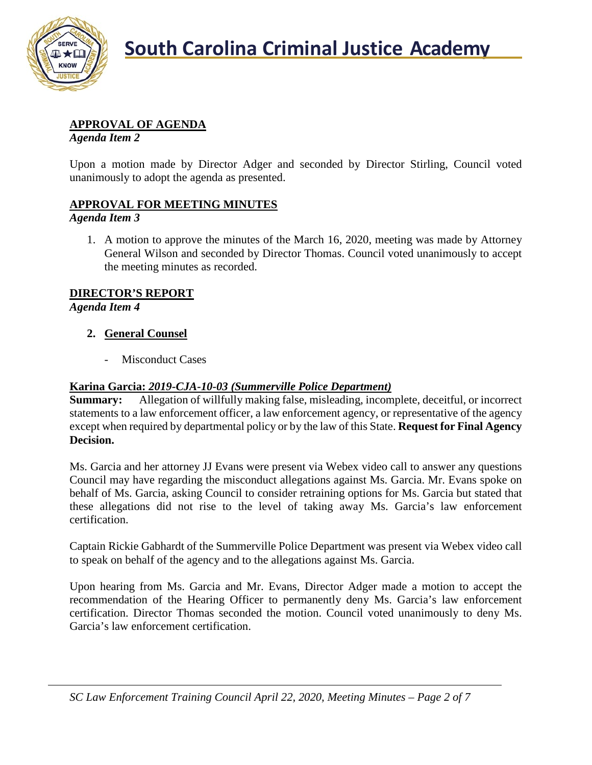

## **APPROVAL OF AGENDA**

*Agenda Item 2*

Upon a motion made by Director Adger and seconded by Director Stirling, Council voted unanimously to adopt the agenda as presented.

## **APPROVAL FOR MEETING MINUTES**

#### *Agenda Item 3*

1. A motion to approve the minutes of the March 16, 2020, meeting was made by Attorney General Wilson and seconded by Director Thomas. Council voted unanimously to accept the meeting minutes as recorded.

## **DIRECTOR'S REPORT**

*Agenda Item 4*

## **2. General Counsel**

- Misconduct Cases

## **Karina Garcia:** *2019-CJA-10-03 (Summerville Police Department)*

**Summary:** Allegation of willfully making false, misleading, incomplete, deceitful, or incorrect statements to a law enforcement officer, a law enforcement agency, or representative of the agency except when required by departmental policy or by the law of this State. **Request for Final Agency Decision.**

Ms. Garcia and her attorney JJ Evans were present via Webex video call to answer any questions Council may have regarding the misconduct allegations against Ms. Garcia. Mr. Evans spoke on behalf of Ms. Garcia, asking Council to consider retraining options for Ms. Garcia but stated that these allegations did not rise to the level of taking away Ms. Garcia's law enforcement certification.

Captain Rickie Gabhardt of the Summerville Police Department was present via Webex video call to speak on behalf of the agency and to the allegations against Ms. Garcia.

Upon hearing from Ms. Garcia and Mr. Evans, Director Adger made a motion to accept the recommendation of the Hearing Officer to permanently deny Ms. Garcia's law enforcement certification. Director Thomas seconded the motion. Council voted unanimously to deny Ms. Garcia's law enforcement certification.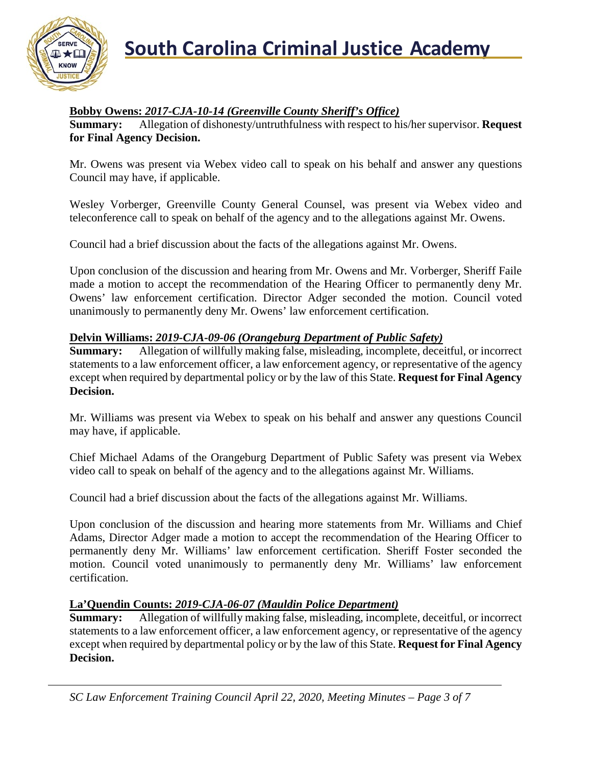

### **Bobby Owens:** *2017-CJA-10-14 (Greenville County Sheriff's Office)*

**Summary:** Allegation of dishonesty/untruthfulness with respect to his/her supervisor. **Request for Final Agency Decision.**

Mr. Owens was present via Webex video call to speak on his behalf and answer any questions Council may have, if applicable.

Wesley Vorberger, Greenville County General Counsel, was present via Webex video and teleconference call to speak on behalf of the agency and to the allegations against Mr. Owens.

Council had a brief discussion about the facts of the allegations against Mr. Owens.

Upon conclusion of the discussion and hearing from Mr. Owens and Mr. Vorberger, Sheriff Faile made a motion to accept the recommendation of the Hearing Officer to permanently deny Mr. Owens' law enforcement certification. Director Adger seconded the motion. Council voted unanimously to permanently deny Mr. Owens' law enforcement certification.

#### **Delvin Williams:** *2019-CJA-09-06 (Orangeburg Department of Public Safety)*

**Summary:** Allegation of willfully making false, misleading, incomplete, deceitful, or incorrect statements to a law enforcement officer, a law enforcement agency, or representative of the agency except when required by departmental policy or by the law of this State. **Request for Final Agency Decision.**

Mr. Williams was present via Webex to speak on his behalf and answer any questions Council may have, if applicable.

Chief Michael Adams of the Orangeburg Department of Public Safety was present via Webex video call to speak on behalf of the agency and to the allegations against Mr. Williams.

Council had a brief discussion about the facts of the allegations against Mr. Williams.

Upon conclusion of the discussion and hearing more statements from Mr. Williams and Chief Adams, Director Adger made a motion to accept the recommendation of the Hearing Officer to permanently deny Mr. Williams' law enforcement certification. Sheriff Foster seconded the motion. Council voted unanimously to permanently deny Mr. Williams' law enforcement certification.

### **La'Quendin Counts:** *2019-CJA-06-07 (Mauldin Police Department)*

**Summary:** Allegation of willfully making false, misleading, incomplete, deceitful, or incorrect statements to a law enforcement officer, a law enforcement agency, or representative of the agency except when required by departmental policy or by the law of this State. **Request for Final Agency Decision.**

*SC Law Enforcement Training Council April 22, 2020, Meeting Minutes – Page 3 of 7*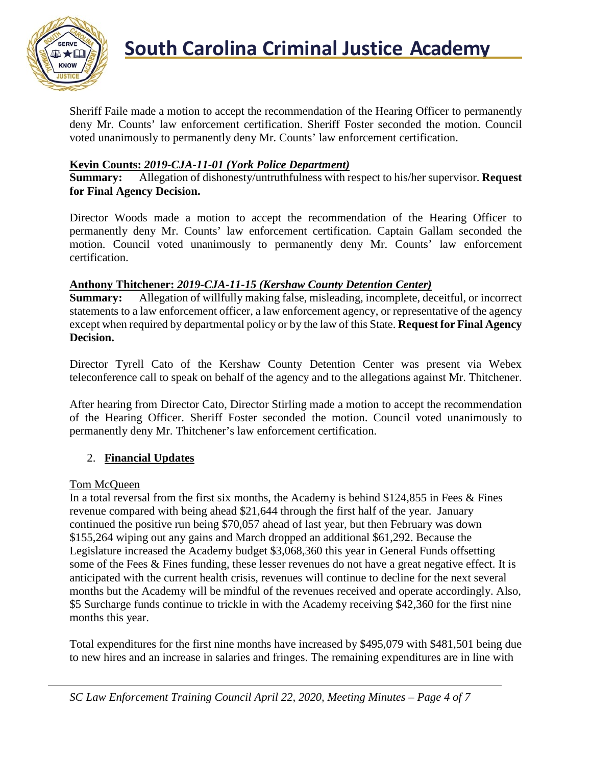

Sheriff Faile made a motion to accept the recommendation of the Hearing Officer to permanently deny Mr. Counts' law enforcement certification. Sheriff Foster seconded the motion. Council voted unanimously to permanently deny Mr. Counts' law enforcement certification.

#### **Kevin Counts:** *2019-CJA-11-01 (York Police Department)*

**Summary:** Allegation of dishonesty/untruthfulness with respect to his/her supervisor. **Request for Final Agency Decision.**

Director Woods made a motion to accept the recommendation of the Hearing Officer to permanently deny Mr. Counts' law enforcement certification. Captain Gallam seconded the motion. Council voted unanimously to permanently deny Mr. Counts' law enforcement certification.

#### **Anthony Thitchener:** *2019-CJA-11-15 (Kershaw County Detention Center)*

**Summary:** Allegation of willfully making false, misleading, incomplete, deceitful, or incorrect statements to a law enforcement officer, a law enforcement agency, or representative of the agency except when required by departmental policy or by the law of this State. **Request for Final Agency Decision.**

Director Tyrell Cato of the Kershaw County Detention Center was present via Webex teleconference call to speak on behalf of the agency and to the allegations against Mr. Thitchener.

After hearing from Director Cato, Director Stirling made a motion to accept the recommendation of the Hearing Officer. Sheriff Foster seconded the motion. Council voted unanimously to permanently deny Mr. Thitchener's law enforcement certification.

### 2. **Financial Updates**

#### Tom McQueen

In a total reversal from the first six months, the Academy is behind \$124,855 in Fees & Fines revenue compared with being ahead \$21,644 through the first half of the year. January continued the positive run being \$70,057 ahead of last year, but then February was down \$155,264 wiping out any gains and March dropped an additional \$61,292. Because the Legislature increased the Academy budget \$3,068,360 this year in General Funds offsetting some of the Fees & Fines funding, these lesser revenues do not have a great negative effect. It is anticipated with the current health crisis, revenues will continue to decline for the next several months but the Academy will be mindful of the revenues received and operate accordingly. Also, \$5 Surcharge funds continue to trickle in with the Academy receiving \$42,360 for the first nine months this year.

Total expenditures for the first nine months have increased by \$495,079 with \$481,501 being due to new hires and an increase in salaries and fringes. The remaining expenditures are in line with

*SC Law Enforcement Training Council April 22, 2020, Meeting Minutes – Page 4 of 7*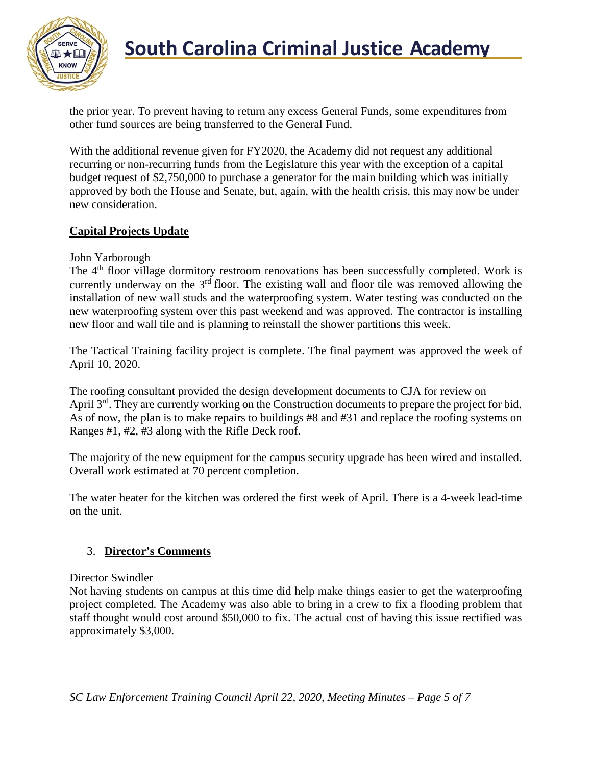

# **South Carolina Criminal Justice Academy**<br>KNOW 2008

the prior year. To prevent having to return any excess General Funds, some expenditures from other fund sources are being transferred to the General Fund.

With the additional revenue given for FY2020, the Academy did not request any additional recurring or non-recurring funds from the Legislature this year with the exception of a capital budget request of \$2,750,000 to purchase a generator for the main building which was initially approved by both the House and Senate, but, again, with the health crisis, this may now be under new consideration.

## **Capital Projects Update**

## John Yarborough

The 4<sup>th</sup> floor village dormitory restroom renovations has been successfully completed. Work is currently underway on the  $3<sup>rd</sup>$  floor. The existing wall and floor tile was removed allowing the installation of new wall studs and the waterproofing system. Water testing was conducted on the new waterproofing system over this past weekend and was approved. The contractor is installing new floor and wall tile and is planning to reinstall the shower partitions this week.

The Tactical Training facility project is complete. The final payment was approved the week of April 10, 2020.

The roofing consultant provided the design development documents to CJA for review on April 3<sup>rd</sup>. They are currently working on the Construction documents to prepare the project for bid. As of now, the plan is to make repairs to buildings #8 and #31 and replace the roofing systems on Ranges #1, #2, #3 along with the Rifle Deck roof.

The majority of the new equipment for the campus security upgrade has been wired and installed. Overall work estimated at 70 percent completion.

The water heater for the kitchen was ordered the first week of April. There is a 4-week lead-time on the unit.

### 3. **Director's Comments**

### Director Swindler

Not having students on campus at this time did help make things easier to get the waterproofing project completed. The Academy was also able to bring in a crew to fix a flooding problem that staff thought would cost around \$50,000 to fix. The actual cost of having this issue rectified was approximately \$3,000.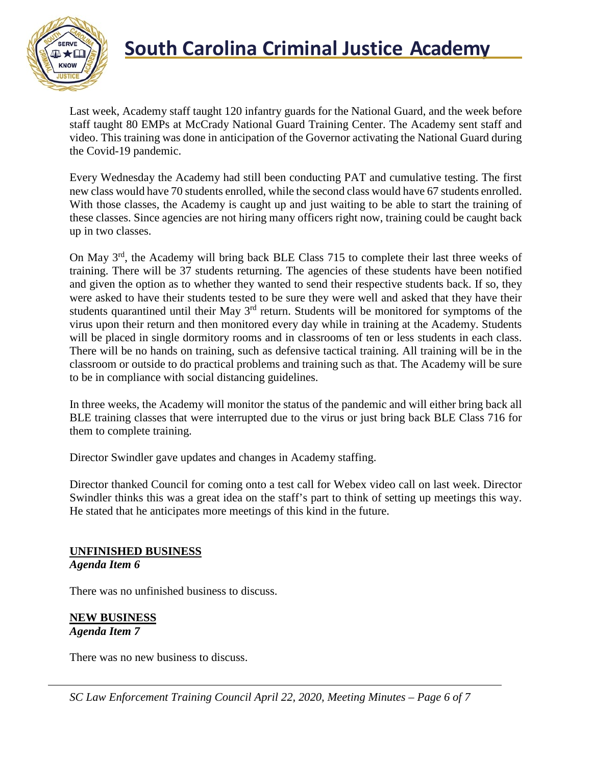

# **South Carolina Criminal Justice Academy**<br>KNOW

Last week, Academy staff taught 120 infantry guards for the National Guard, and the week before staff taught 80 EMPs at McCrady National Guard Training Center. The Academy sent staff and video. This training was done in anticipation of the Governor activating the National Guard during the Covid-19 pandemic.

Every Wednesday the Academy had still been conducting PAT and cumulative testing. The first new class would have 70 students enrolled, while the second class would have 67 students enrolled. With those classes, the Academy is caught up and just waiting to be able to start the training of these classes. Since agencies are not hiring many officers right now, training could be caught back up in two classes.

On May 3rd, the Academy will bring back BLE Class 715 to complete their last three weeks of training. There will be 37 students returning. The agencies of these students have been notified and given the option as to whether they wanted to send their respective students back. If so, they were asked to have their students tested to be sure they were well and asked that they have their students quarantined until their May 3<sup>rd</sup> return. Students will be monitored for symptoms of the virus upon their return and then monitored every day while in training at the Academy. Students will be placed in single dormitory rooms and in classrooms of ten or less students in each class. There will be no hands on training, such as defensive tactical training. All training will be in the classroom or outside to do practical problems and training such as that. The Academy will be sure to be in compliance with social distancing guidelines.

In three weeks, the Academy will monitor the status of the pandemic and will either bring back all BLE training classes that were interrupted due to the virus or just bring back BLE Class 716 for them to complete training.

Director Swindler gave updates and changes in Academy staffing.

Director thanked Council for coming onto a test call for Webex video call on last week. Director Swindler thinks this was a great idea on the staff's part to think of setting up meetings this way. He stated that he anticipates more meetings of this kind in the future.

#### **UNFINISHED BUSINESS** *Agenda Item 6*

There was no unfinished business to discuss.

**NEW BUSINESS** *Agenda Item 7*

There was no new business to discuss.